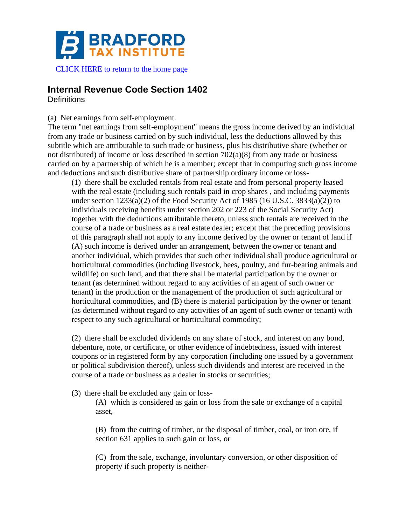

# **Internal Revenue Code Section 1402**

**Definitions** 

# (a) Net earnings from self-employment.

The term "net earnings from self-employment" means the gross income derived by an individual from any trade or business carried on by such individual, less the deductions allowed by this subtitle which are attributable to such trade or business, plus his distributive share (whether or not distributed) of income or loss described in section  $702(a)(8)$  from any trade or business carried on by a partnership of which he is a member; except that in computing such gross income and deductions and such distributive share of partnership ordinary income or loss-

(1) there shall be excluded rentals from real estate and from personal property leased with the real estate (including such rentals paid in crop shares, and including payments under section  $1233(a)(2)$  of the Food Security Act of 1985 (16 U.S.C. 3833(a)(2)) to individuals receiving benefits under section 202 or 223 of the Social Security Act) together with the deductions attributable thereto, unless such rentals are received in the course of a trade or business as a real estate dealer; except that the preceding provisions of this paragraph shall not apply to any income derived by the owner or tenant of land if (A) such income is derived under an arrangement, between the owner or tenant and another individual, which provides that such other individual shall produce agricultural or horticultural commodities (including livestock, bees, poultry, and fur-bearing animals and wildlife) on such land, and that there shall be material participation by the owner or tenant (as determined without regard to any activities of an agent of such owner or tenant) in the production or the management of the production of such agricultural or horticultural commodities, and (B) there is material participation by the owner or tenant (as determined without regard to any activities of an agent of such owner or tenant) with respect to any such agricultural or horticultural commodity;

(2) there shall be excluded dividends on any share of stock, and interest on any bond, debenture, note, or certificate, or other evidence of indebtedness, issued with interest coupons or in registered form by any corporation (including one issued by a government or political subdivision thereof), unless such dividends and interest are received in the course of a trade or business as a dealer in stocks or securities;

(3) there shall be excluded any gain or loss-

(A) which is considered as gain or loss from the sale or exchange of a capital asset,

(B) from the cutting of timber, or the disposal of timber, coal, or iron ore, if section 631 applies to such gain or loss, or

(C) from the sale, exchange, involuntary conversion, or other disposition of property if such property is neither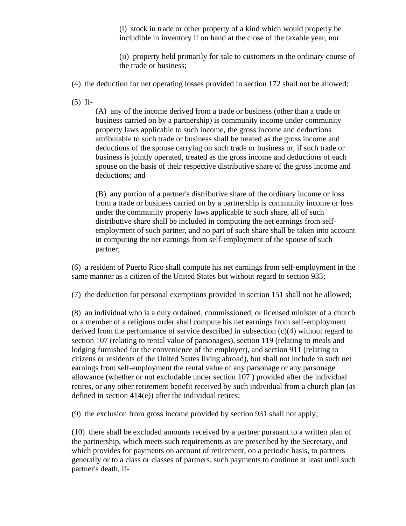(i) stock in trade or other property of a kind which would properly be includible in inventory if on hand at the close of the taxable year, nor

(ii) property held primarily for sale to customers in the ordinary course of the trade or business;

- (4) the deduction for net operating losses provided in section 172 shall not be allowed;
- (5) If-

(A) any of the income derived from a trade or business (other than a trade or business carried on by a partnership) is community income under community property laws applicable to such income, the gross income and deductions attributable to such trade or business shall be treated as the gross income and deductions of the spouse carrying on such trade or business or, if such trade or business is jointly operated, treated as the gross income and deductions of each spouse on the basis of their respective distributive share of the gross income and deductions; and

(B) any portion of a partner's distributive share of the ordinary income or loss from a trade or business carried on by a partnership is community income or loss under the community property laws applicable to such share, all of such distributive share shall be included in computing the net earnings from selfemployment of such partner, and no part of such share shall be taken into account in computing the net earnings from self-employment of the spouse of such partner;

(6) a resident of Puerto Rico shall compute his net earnings from self-employment in the same manner as a citizen of the United States but without regard to section 933;

(7) the deduction for personal exemptions provided in section 151 shall not be allowed;

(8) an individual who is a duly ordained, commissioned, or licensed minister of a church or a member of a religious order shall compute his net earnings from self-employment derived from the performance of service described in subsection (c)(4) without regard to section 107 (relating to rental value of parsonages), section 119 (relating to meals and lodging furnished for the convenience of the employer), and section 911 (relating to citizens or residents of the United States living abroad), but shall not include in such net earnings from self-employment the rental value of any parsonage or any parsonage allowance (whether or not excludable under section 107 ) provided after the individual retires, or any other retirement benefit received by such individual from a church plan (as defined in section 414(e)) after the individual retires;

(9) the exclusion from gross income provided by section 931 shall not apply;

(10) there shall be excluded amounts received by a partner pursuant to a written plan of the partnership, which meets such requirements as are prescribed by the Secretary, and which provides for payments on account of retirement, on a periodic basis, to partners generally or to a class or classes of partners, such payments to continue at least until such partner's death, if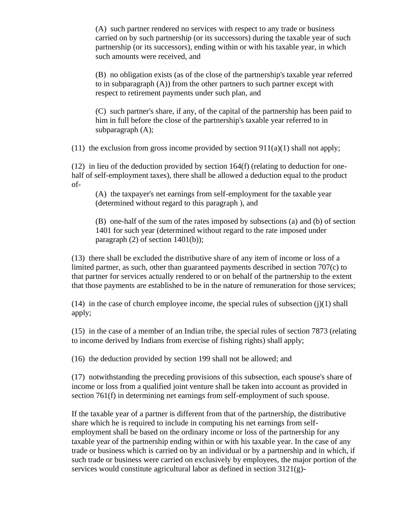(A) such partner rendered no services with respect to any trade or business carried on by such partnership (or its successors) during the taxable year of such partnership (or its successors), ending within or with his taxable year, in which such amounts were received, and

(B) no obligation exists (as of the close of the partnership's taxable year referred to in subparagraph (A)) from the other partners to such partner except with respect to retirement payments under such plan, and

(C) such partner's share, if any, of the capital of the partnership has been paid to him in full before the close of the partnership's taxable year referred to in subparagraph (A);

(11) the exclusion from gross income provided by section  $911(a)(1)$  shall not apply;

(12) in lieu of the deduction provided by section 164(f) (relating to deduction for onehalf of self-employment taxes), there shall be allowed a deduction equal to the product of-

(A) the taxpayer's net earnings from self-employment for the taxable year (determined without regard to this paragraph ), and

(B) one-half of the sum of the rates imposed by subsections (a) and (b) of section 1401 for such year (determined without regard to the rate imposed under paragraph  $(2)$  of section 1401 $(b)$ ;

(13) there shall be excluded the distributive share of any item of income or loss of a limited partner, as such, other than guaranteed payments described in section 707(c) to that partner for services actually rendered to or on behalf of the partnership to the extent that those payments are established to be in the nature of remuneration for those services;

 $(14)$  in the case of church employee income, the special rules of subsection  $(i)(1)$  shall apply;

(15) in the case of a member of an Indian tribe, the special rules of section 7873 (relating to income derived by Indians from exercise of fishing rights) shall apply;

(16) the deduction provided by section 199 shall not be allowed; and

(17) notwithstanding the preceding provisions of this subsection, each spouse's share of income or loss from a qualified joint venture shall be taken into account as provided in section 761(f) in determining net earnings from self-employment of such spouse.

If the taxable year of a partner is different from that of the partnership, the distributive share which he is required to include in computing his net earnings from selfemployment shall be based on the ordinary income or loss of the partnership for any taxable year of the partnership ending within or with his taxable year. In the case of any trade or business which is carried on by an individual or by a partnership and in which, if such trade or business were carried on exclusively by employees, the major portion of the services would constitute agricultural labor as defined in section 3121(g)-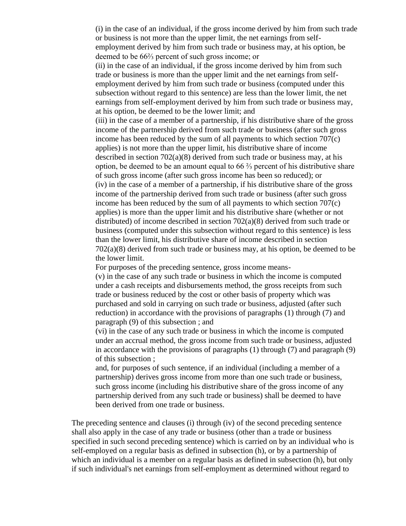(i) in the case of an individual, if the gross income derived by him from such trade or business is not more than the upper limit, the net earnings from selfemployment derived by him from such trade or business may, at his option, be deemed to be 66⅔ percent of such gross income; or

(ii) in the case of an individual, if the gross income derived by him from such trade or business is more than the upper limit and the net earnings from selfemployment derived by him from such trade or business (computed under this subsection without regard to this sentence) are less than the lower limit, the net earnings from self-employment derived by him from such trade or business may, at his option, be deemed to be the lower limit; and

(iii) in the case of a member of a partnership, if his distributive share of the gross income of the partnership derived from such trade or business (after such gross income has been reduced by the sum of all payments to which section 707(c) applies) is not more than the upper limit, his distributive share of income described in section  $702(a)(8)$  derived from such trade or business may, at his option, be deemed to be an amount equal to 66  $\frac{2}{3}$  percent of his distributive share of such gross income (after such gross income has been so reduced); or (iv) in the case of a member of a partnership, if his distributive share of the gross income of the partnership derived from such trade or business (after such gross income has been reduced by the sum of all payments to which section 707(c) applies) is more than the upper limit and his distributive share (whether or not distributed) of income described in section  $702(a)(8)$  derived from such trade or business (computed under this subsection without regard to this sentence) is less than the lower limit, his distributive share of income described in section 702(a)(8) derived from such trade or business may, at his option, be deemed to be the lower limit.

For purposes of the preceding sentence, gross income means-

(v) in the case of any such trade or business in which the income is computed under a cash receipts and disbursements method, the gross receipts from such trade or business reduced by the cost or other basis of property which was purchased and sold in carrying on such trade or business, adjusted (after such reduction) in accordance with the provisions of paragraphs (1) through (7) and paragraph (9) of this subsection ; and

(vi) in the case of any such trade or business in which the income is computed under an accrual method, the gross income from such trade or business, adjusted in accordance with the provisions of paragraphs  $(1)$  through  $(7)$  and paragraph  $(9)$ of this subsection ;

and, for purposes of such sentence, if an individual (including a member of a partnership) derives gross income from more than one such trade or business, such gross income (including his distributive share of the gross income of any partnership derived from any such trade or business) shall be deemed to have been derived from one trade or business.

The preceding sentence and clauses (i) through (iv) of the second preceding sentence shall also apply in the case of any trade or business (other than a trade or business specified in such second preceding sentence) which is carried on by an individual who is self-employed on a regular basis as defined in subsection (h), or by a partnership of which an individual is a member on a regular basis as defined in subsection (h), but only if such individual's net earnings from self-employment as determined without regard to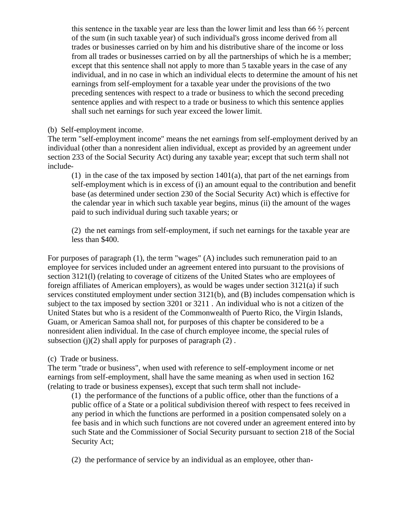this sentence in the taxable year are less than the lower limit and less than 66  $\frac{2}{3}$  percent of the sum (in such taxable year) of such individual's gross income derived from all trades or businesses carried on by him and his distributive share of the income or loss from all trades or businesses carried on by all the partnerships of which he is a member; except that this sentence shall not apply to more than 5 taxable years in the case of any individual, and in no case in which an individual elects to determine the amount of his net earnings from self-employment for a taxable year under the provisions of the two preceding sentences with respect to a trade or business to which the second preceding sentence applies and with respect to a trade or business to which this sentence applies shall such net earnings for such year exceed the lower limit.

# (b) Self-employment income.

The term "self-employment income" means the net earnings from self-employment derived by an individual (other than a nonresident alien individual, except as provided by an agreement under section 233 of the Social Security Act) during any taxable year; except that such term shall not include-

(1) in the case of the tax imposed by section 1401(a), that part of the net earnings from self-employment which is in excess of (i) an amount equal to the contribution and benefit base (as determined under section 230 of the Social Security Act) which is effective for the calendar year in which such taxable year begins, minus (ii) the amount of the wages paid to such individual during such taxable years; or

(2) the net earnings from self-employment, if such net earnings for the taxable year are less than \$400.

For purposes of paragraph (1), the term "wages" (A) includes such remuneration paid to an employee for services included under an agreement entered into pursuant to the provisions of section 3121(l) (relating to coverage of citizens of the United States who are employees of foreign affiliates of American employers), as would be wages under section 3121(a) if such services constituted employment under section 3121(b), and (B) includes compensation which is subject to the tax imposed by section 3201 or 3211 . An individual who is not a citizen of the United States but who is a resident of the Commonwealth of Puerto Rico, the Virgin Islands, Guam, or American Samoa shall not, for purposes of this chapter be considered to be a nonresident alien individual. In the case of church employee income, the special rules of subsection (j)(2) shall apply for purposes of paragraph  $(2)$ .

# (c) Trade or business.

The term "trade or business", when used with reference to self-employment income or net earnings from self-employment, shall have the same meaning as when used in section 162 (relating to trade or business expenses), except that such term shall not include-

(1) the performance of the functions of a public office, other than the functions of a public office of a State or a political subdivision thereof with respect to fees received in any period in which the functions are performed in a position compensated solely on a fee basis and in which such functions are not covered under an agreement entered into by such State and the Commissioner of Social Security pursuant to section 218 of the Social Security Act;

(2) the performance of service by an individual as an employee, other than-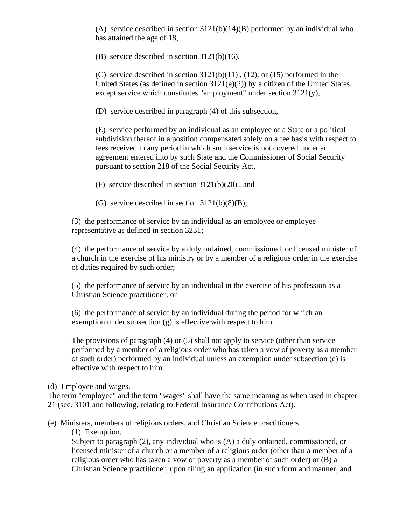(A) service described in section  $3121(b)(14)(B)$  performed by an individual who has attained the age of 18,

(B) service described in section 3121(b)(16),

(C) service described in section  $3121(b)(11)$ ,  $(12)$ , or  $(15)$  performed in the United States (as defined in section 3121(e)(2)) by a citizen of the United States, except service which constitutes "employment" under section 3121(y),

(D) service described in paragraph (4) of this subsection,

(E) service performed by an individual as an employee of a State or a political subdivision thereof in a position compensated solely on a fee basis with respect to fees received in any period in which such service is not covered under an agreement entered into by such State and the Commissioner of Social Security pursuant to section 218 of the Social Security Act,

(F) service described in section 3121(b)(20) , and

(G) service described in section  $3121(b)(8)(B)$ ;

(3) the performance of service by an individual as an employee or employee representative as defined in section 3231;

(4) the performance of service by a duly ordained, commissioned, or licensed minister of a church in the exercise of his ministry or by a member of a religious order in the exercise of duties required by such order;

(5) the performance of service by an individual in the exercise of his profession as a Christian Science practitioner; or

(6) the performance of service by an individual during the period for which an exemption under subsection  $(g)$  is effective with respect to him.

The provisions of paragraph (4) or (5) shall not apply to service (other than service performed by a member of a religious order who has taken a vow of poverty as a member of such order) performed by an individual unless an exemption under subsection (e) is effective with respect to him.

### (d) Employee and wages.

The term "employee" and the term "wages" shall have the same meaning as when used in chapter 21 (sec. 3101 and following, relating to Federal Insurance Contributions Act).

(e) Ministers, members of religious orders, and Christian Science practitioners.

(1) Exemption.

Subject to paragraph (2), any individual who is (A) a duly ordained, commissioned, or licensed minister of a church or a member of a religious order (other than a member of a religious order who has taken a vow of poverty as a member of such order) or (B) a Christian Science practitioner, upon filing an application (in such form and manner, and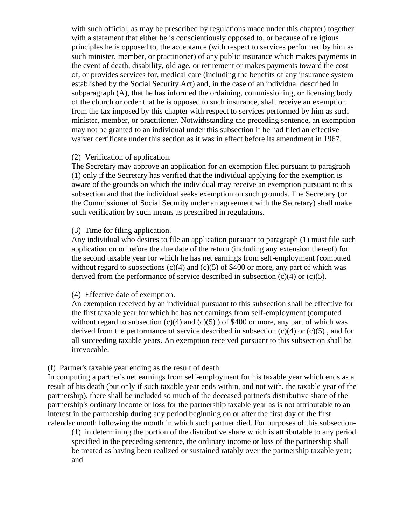with such official, as may be prescribed by regulations made under this chapter) together with a statement that either he is conscientiously opposed to, or because of religious principles he is opposed to, the acceptance (with respect to services performed by him as such minister, member, or practitioner) of any public insurance which makes payments in the event of death, disability, old age, or retirement or makes payments toward the cost of, or provides services for, medical care (including the benefits of any insurance system established by the Social Security Act) and, in the case of an individual described in subparagraph (A), that he has informed the ordaining, commissioning, or licensing body of the church or order that he is opposed to such insurance, shall receive an exemption from the tax imposed by this chapter with respect to services performed by him as such minister, member, or practitioner. Notwithstanding the preceding sentence, an exemption may not be granted to an individual under this subsection if he had filed an effective waiver certificate under this section as it was in effect before its amendment in 1967.

## (2) Verification of application.

The Secretary may approve an application for an exemption filed pursuant to paragraph (1) only if the Secretary has verified that the individual applying for the exemption is aware of the grounds on which the individual may receive an exemption pursuant to this subsection and that the individual seeks exemption on such grounds. The Secretary (or the Commissioner of Social Security under an agreement with the Secretary) shall make such verification by such means as prescribed in regulations.

# (3) Time for filing application.

Any individual who desires to file an application pursuant to paragraph (1) must file such application on or before the due date of the return (including any extension thereof) for the second taxable year for which he has net earnings from self-employment (computed without regard to subsections  $(c)(4)$  and  $(c)(5)$  of \$400 or more, any part of which was derived from the performance of service described in subsection  $(c)(4)$  or  $(c)(5)$ .

### (4) Effective date of exemption.

An exemption received by an individual pursuant to this subsection shall be effective for the first taxable year for which he has net earnings from self-employment (computed without regard to subsection  $(c)(4)$  and  $(c)(5)$  of \$400 or more, any part of which was derived from the performance of service described in subsection  $(c)(4)$  or  $(c)(5)$ , and for all succeeding taxable years. An exemption received pursuant to this subsection shall be irrevocable.

# (f) Partner's taxable year ending as the result of death.

In computing a partner's net earnings from self-employment for his taxable year which ends as a result of his death (but only if such taxable year ends within, and not with, the taxable year of the partnership), there shall be included so much of the deceased partner's distributive share of the partnership's ordinary income or loss for the partnership taxable year as is not attributable to an interest in the partnership during any period beginning on or after the first day of the first calendar month following the month in which such partner died. For purposes of this subsection-

(1) in determining the portion of the distributive share which is attributable to any period specified in the preceding sentence, the ordinary income or loss of the partnership shall be treated as having been realized or sustained ratably over the partnership taxable year; and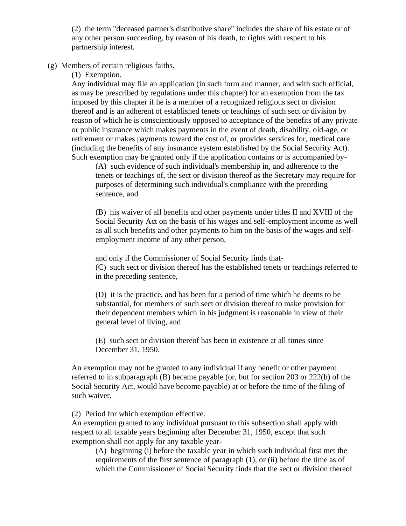(2) the term "deceased partner's distributive share" includes the share of his estate or of any other person succeeding, by reason of his death, to rights with respect to his partnership interest.

(g) Members of certain religious faiths.

(1) Exemption.

Any individual may file an application (in such form and manner, and with such official, as may be prescribed by regulations under this chapter) for an exemption from the tax imposed by this chapter if he is a member of a recognized religious sect or division thereof and is an adherent of established tenets or teachings of such sect or division by reason of which he is conscientiously opposed to acceptance of the benefits of any private or public insurance which makes payments in the event of death, disability, old-age, or retirement or makes payments toward the cost of, or provides services for, medical care (including the benefits of any insurance system established by the Social Security Act). Such exemption may be granted only if the application contains or is accompanied by-

(A) such evidence of such individual's membership in, and adherence to the tenets or teachings of, the sect or division thereof as the Secretary may require for purposes of determining such individual's compliance with the preceding sentence, and

(B) his waiver of all benefits and other payments under titles II and XVIII of the Social Security Act on the basis of his wages and self-employment income as well as all such benefits and other payments to him on the basis of the wages and selfemployment income of any other person,

and only if the Commissioner of Social Security finds that- (C) such sect or division thereof has the established tenets or teachings referred to in the preceding sentence,

(D) it is the practice, and has been for a period of time which he deems to be substantial, for members of such sect or division thereof to make provision for their dependent members which in his judgment is reasonable in view of their general level of living, and

(E) such sect or division thereof has been in existence at all times since December 31, 1950.

An exemption may not be granted to any individual if any benefit or other payment referred to in subparagraph (B) became payable (or, but for section 203 or 222(b) of the Social Security Act, would have become payable) at or before the time of the filing of such waiver.

(2) Period for which exemption effective.

An exemption granted to any individual pursuant to this subsection shall apply with respect to all taxable years beginning after December 31, 1950, except that such exemption shall not apply for any taxable year-

(A) beginning (i) before the taxable year in which such individual first met the requirements of the first sentence of paragraph (1), or (ii) before the time as of which the Commissioner of Social Security finds that the sect or division thereof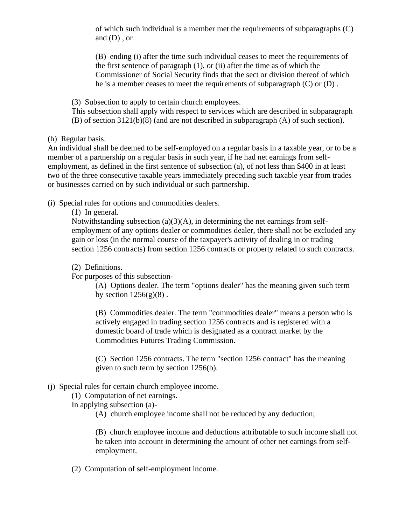of which such individual is a member met the requirements of subparagraphs (C) and (D) , or

(B) ending (i) after the time such individual ceases to meet the requirements of the first sentence of paragraph  $(1)$ , or  $(ii)$  after the time as of which the Commissioner of Social Security finds that the sect or division thereof of which he is a member ceases to meet the requirements of subparagraph (C) or (D) .

(3) Subsection to apply to certain church employees.

This subsection shall apply with respect to services which are described in subparagraph (B) of section 3121(b)(8) (and are not described in subparagraph (A) of such section).

(h) Regular basis.

An individual shall be deemed to be self-employed on a regular basis in a taxable year, or to be a member of a partnership on a regular basis in such year, if he had net earnings from selfemployment, as defined in the first sentence of subsection (a), of not less than \$400 in at least two of the three consecutive taxable years immediately preceding such taxable year from trades or businesses carried on by such individual or such partnership.

(i) Special rules for options and commodities dealers.

(1) In general.

Notwithstanding subsection  $(a)(3)(A)$ , in determining the net earnings from selfemployment of any options dealer or commodities dealer, there shall not be excluded any gain or loss (in the normal course of the taxpayer's activity of dealing in or trading section 1256 contracts) from section 1256 contracts or property related to such contracts.

(2) Definitions.

For purposes of this subsection-

(A) Options dealer. The term "options dealer" has the meaning given such term by section  $1256(g)(8)$ .

(B) Commodities dealer. The term "commodities dealer" means a person who is actively engaged in trading section 1256 contracts and is registered with a domestic board of trade which is designated as a contract market by the Commodities Futures Trading Commission.

(C) Section 1256 contracts. The term "section 1256 contract" has the meaning given to such term by section 1256(b).

# (j) Special rules for certain church employee income.

(1) Computation of net earnings.

In applying subsection (a)-

(A) church employee income shall not be reduced by any deduction;

(B) church employee income and deductions attributable to such income shall not be taken into account in determining the amount of other net earnings from selfemployment.

(2) Computation of self-employment income.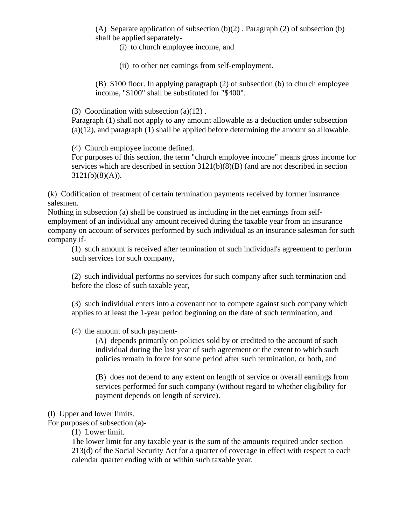(A) Separate application of subsection  $(b)(2)$ . Paragraph  $(2)$  of subsection  $(b)$ shall be applied separately-

(i) to church employee income, and

(ii) to other net earnings from self-employment.

(B) \$100 floor. In applying paragraph (2) of subsection (b) to church employee income, "\$100" shall be substituted for "\$400".

(3) Coordination with subsection  $(a)(12)$ .

Paragraph (1) shall not apply to any amount allowable as a deduction under subsection (a)(12), and paragraph (1) shall be applied before determining the amount so allowable.

(4) Church employee income defined.

For purposes of this section, the term "church employee income" means gross income for services which are described in section  $3121(b)(8)(B)$  (and are not described in section  $3121(b)(8)(A)).$ 

(k) Codification of treatment of certain termination payments received by former insurance salesmen.

Nothing in subsection (a) shall be construed as including in the net earnings from selfemployment of an individual any amount received during the taxable year from an insurance company on account of services performed by such individual as an insurance salesman for such company if-

(1) such amount is received after termination of such individual's agreement to perform such services for such company,

(2) such individual performs no services for such company after such termination and before the close of such taxable year,

(3) such individual enters into a covenant not to compete against such company which applies to at least the 1-year period beginning on the date of such termination, and

(4) the amount of such payment-

(A) depends primarily on policies sold by or credited to the account of such individual during the last year of such agreement or the extent to which such policies remain in force for some period after such termination, or both, and

(B) does not depend to any extent on length of service or overall earnings from services performed for such company (without regard to whether eligibility for payment depends on length of service).

(l) Upper and lower limits.

For purposes of subsection (a)-

(1) Lower limit.

The lower limit for any taxable year is the sum of the amounts required under section 213(d) of the Social Security Act for a quarter of coverage in effect with respect to each calendar quarter ending with or within such taxable year.